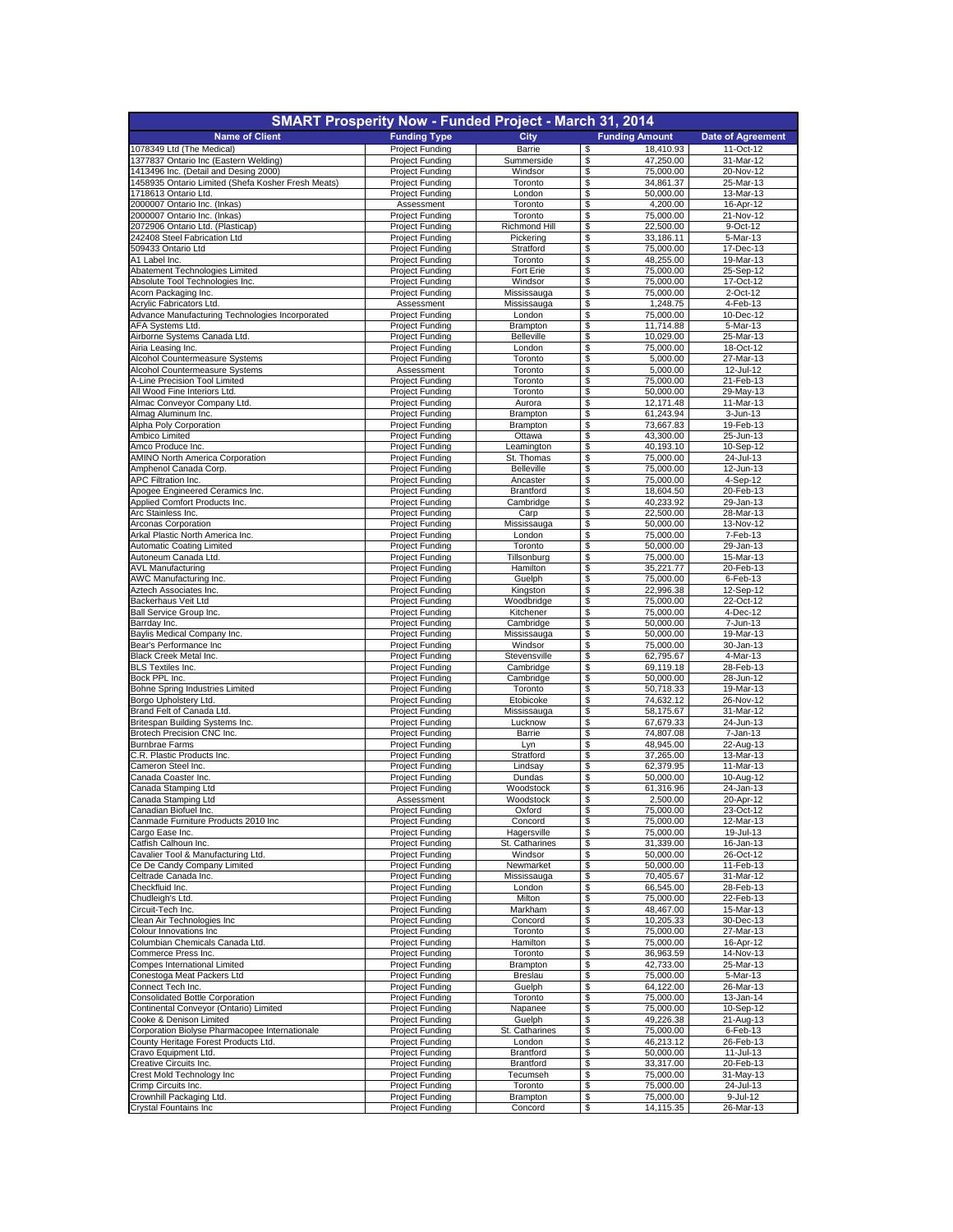| <b>SMART Prosperity Now - Funded Project - March 31, 2014</b>    |                                                  |                              |                                    |                          |
|------------------------------------------------------------------|--------------------------------------------------|------------------------------|------------------------------------|--------------------------|
| <b>Name of Client</b>                                            | <b>Funding Type</b>                              | City                         | <b>Funding Amount</b>              | <b>Date of Agreement</b> |
| 1078349 Ltd (The Medical)                                        | <b>Project Funding</b>                           | Barrie                       | 18,410.93<br>S                     | 11-Oct-12                |
| 1377837 Ontario Inc (Eastern Welding)                            | Project Funding                                  | Summerside                   | 47,250.00<br>\$                    | 31-Mar-12                |
| 1413496 Inc. (Detail and Desing 2000)                            | <b>Project Funding</b>                           | Windsor                      | 75,000.00<br>\$                    | 20-Nov-12                |
| 1458935 Ontario Limited (Shefa Kosher Fresh Meats)               | <b>Project Funding</b>                           | Toronto                      | \$<br>34,861.37                    | 25-Mar-13<br>13-Mar-13   |
| 1718613 Ontario Ltd<br>2000007 Ontario Inc. (Inkas)              | Project Funding<br>Assessment                    | London<br>Toronto            | 50,000.00<br>\$<br>4,200.00<br>\$  | 16-Apr-12                |
| 2000007 Ontario Inc. (Inkas)                                     | <b>Project Funding</b>                           | Toronto                      | 75.000.00<br>\$                    | 21-Nov-12                |
| 2072906 Ontario Ltd. (Plasticap)                                 | Project Funding                                  | Richmond Hill                | \$<br>22,500.00                    | 9-Oct-12                 |
| 242408 Steel Fabrication Ltd                                     | <b>Project Funding</b>                           | Pickering                    | \$<br>33,186.11                    | 5-Mar-13                 |
| 509433 Ontario Ltd                                               | <b>Project Funding</b>                           | Stratford                    | 75,000.00<br>\$                    | 17-Dec-13                |
| A1 Label Inc.                                                    | <b>Project Funding</b>                           | Toronto                      | 48,255.00<br>\$                    | 19-Mar-13                |
| Abatement Technologies Limited<br>Absolute Tool Technologies Inc | <b>Project Funding</b><br>Project Funding        | Fort Erie<br>Windsor         | \$<br>75,000.00<br>75,000.00<br>\$ | 25-Sep-12<br>17-Oct-12   |
| Acorn Packaging Inc.                                             | <b>Project Funding</b>                           | Mississauga                  | \$<br>75,000.00                    | 2-Oct-12                 |
| Acrylic Fabricators Ltd.                                         | Assessment                                       | Mississauga                  | 1,248.75<br>\$                     | 4-Feb-13                 |
| Advance Manufacturing Technologies Incorporated                  | <b>Project Funding</b>                           | London                       | \$<br>75,000.00                    | 10-Dec-12                |
| AFA Systems Ltd.                                                 | <b>Project Funding</b>                           | Brampton                     | 11,714.88<br>\$                    | 5-Mar-13                 |
| Airborne Systems Canada Ltd.                                     | <b>Project Funding</b>                           | <b>Belleville</b>            | 10,029.00<br>\$                    | 25-Mar-13                |
| Airia Leasing Inc.<br>Alcohol Countermeasure Systems             | Project Funding<br><b>Project Funding</b>        | London<br>Toronto            | \$<br>75,000.00<br>\$<br>5,000.00  | 18-Oct-12<br>27-Mar-13   |
| Alcohol Countermeasure Systems                                   | Assessment                                       | Toronto                      | 5,000.00<br>\$                     | 12-Jul-12                |
| A-Line Precision Tool Limited                                    | Project Funding                                  | Toronto                      | \$<br>75,000.00                    | 21-Feb-13                |
| All Wood Fine Interiors Ltd.                                     | <b>Project Funding</b>                           | Toronto                      | \$<br>50,000.00                    | 29-May-13                |
| Almac Conveyor Company Ltd.                                      | Project Funding                                  | Aurora                       | \$<br>12,171.48                    | 11-Mar-13                |
| Almag Aluminum Inc.                                              | <b>Project Funding</b>                           | Brampton                     | \$<br>61,243.94                    | 3-Jun-13                 |
| Alpha Poly Corporation                                           | <b>Project Funding</b>                           | Brampton                     | 73,667.83<br>\$                    | 19-Feb-13                |
| Ambico Limited<br>Amco Produce Inc.                              | <b>Project Funding</b><br><b>Project Funding</b> | Ottawa                       | 43,300.00<br>\$<br>40,193.10<br>\$ | 25-Jun-13<br>10-Sep-12   |
| <b>AMINO North America Corporation</b>                           | <b>Project Funding</b>                           | Leamington<br>St. Thomas     | 75,000.00<br>\$                    | 24-Jul-13                |
| Amphenol Canada Corp.                                            | Project Funding                                  | Belleville                   | \$<br>75,000.00                    | 12-Jun-13                |
| <b>APC Filtration Inc</b>                                        | <b>Project Funding</b>                           | Ancaster                     | 75,000.00<br>\$                    | 4-Sep-12                 |
| Apogee Engineered Ceramics Inc.                                  | <b>Project Funding</b>                           | <b>Brantford</b>             | 18,604.50<br>\$                    | 20-Feb-13                |
| Applied Comfort Products Inc.                                    | Project Funding                                  | Cambridge                    | 40,233.92<br>\$                    | 29-Jan-13                |
| Arc Stainless Inc.                                               | <b>Project Funding</b>                           | Carp                         | 22,500.00<br>\$                    | 28-Mar-13                |
| Arconas Corporation<br>Arkal Plastic North America Inc.          | Project Funding                                  | Mississauga<br>London        | \$<br>50,000.00<br>\$<br>75,000.00 | 13-Nov-12<br>7-Feb-13    |
| Automatic Coating Limited                                        | <b>Project Funding</b><br>Project Funding        | Toronto                      | 50,000.00<br>\$                    | 29-Jan-13                |
| Autoneum Canada Ltd.                                             | Project Funding                                  | Tillsonburg                  | 75,000.00<br>\$                    | 15-Mar-13                |
| <b>AVL Manufacturing</b>                                         | <b>Project Funding</b>                           | Hamilton                     | 35,221.77<br>\$                    | 20-Feb-13                |
| <b>AWC Manufacturing Inc</b>                                     | <b>Project Funding</b>                           | Guelph                       | 75,000.00<br>\$                    | 6-Feb-13                 |
| Aztech Associates Inc.                                           | <b>Project Funding</b>                           | Kingston                     | \$<br>22,996.38                    | 12-Sep-12                |
| Backerhaus Veit Ltd                                              | <b>Project Funding</b>                           | Woodbridge                   | 75,000.00<br>\$                    | 22-Oct-12                |
| Ball Service Group Inc.                                          | <b>Project Funding</b>                           | Kitchener                    | 75,000.00<br>\$                    | 4-Dec-12                 |
| Barrday Inc.<br>Baylis Medical Company Inc.                      | Project Funding<br><b>Project Funding</b>        | Cambridge<br>Mississauga     | 50,000.00<br>\$<br>50,000.00<br>\$ | 7-Jun-13<br>19-Mar-13    |
| Bear's Performance Inc                                           | <b>Project Funding</b>                           | Windsor                      | 75,000.00<br>\$                    | 30-Jan-13                |
| Black Creek Metal Inc.                                           | <b>Project Funding</b>                           | Stevensville                 | \$<br>62,795.67                    | 4-Mar-13                 |
| <b>BLS Textiles Inc.</b>                                         | <b>Project Funding</b>                           | Cambridge                    | \$<br>69,119.18                    | 28-Feb-13                |
| Bock PPL Inc.                                                    | <b>Project Funding</b>                           | Cambridge                    | 50,000.00<br>\$                    | 28-Jun-12                |
| Bohne Spring Industries Limited                                  | <b>Project Funding</b>                           | Toronto                      | \$<br>50,718.33                    | 19-Mar-13                |
| Borgo Upholstery Ltd.                                            | <b>Project Funding</b>                           | Etobicoke                    | 74,632.12<br>\$                    | 26-Nov-12                |
| Brand Felt of Canada Ltd<br>Britespan Building Systems Inc.      | <b>Project Funding</b><br><b>Project Funding</b> | Mississauga<br>Lucknow       | \$<br>58,175.67<br>67,679.33<br>\$ | 31-Mar-12<br>24-Jun-13   |
| Brotech Precision CNC Inc.                                       | <b>Project Funding</b>                           | Barrie                       | \$<br>74,807.08                    | $7 - Jan-13$             |
| <b>Burnbrae Farms</b>                                            | <b>Project Funding</b>                           | Lyn                          | 48,945.00<br>\$                    | 22-Aug-13                |
| C.R. Plastic Products Inc.                                       | <b>Project Funding</b>                           | Stratford                    | 37,265.00<br>\$                    | 13-Mar-13                |
| Cameron Steel Inc.                                               | <b>Project Funding</b>                           | Lindsay                      | 62,379.95<br>\$                    | 11-Mar-13                |
| Canada Coaster Inc                                               | Project Funding                                  | Dundas                       | \$<br>50,000.00                    | 10-Aug-12                |
| Canada Stamping Ltd                                              | <b>Project Funding</b>                           | Woodstock                    | \$<br>61,316.96                    | 24-Jan-13                |
| Canada Stamping Ltd                                              | Assessment                                       | Woodstock                    | 2,500.00<br>\$                     | 20-Apr-12                |
| Janadian Bioruel Inc.<br>Canmade Furniture Products 2010 Inc     | Project Funding<br><b>Project Funding</b>        | Oxiord<br>Concord            | <b>UU.UUU,C</b><br>\$<br>75,000.00 | 23-UCI-12<br>12-Mar-13   |
| Cargo Ease Inc.                                                  | <b>Project Funding</b>                           | Hagersville                  | 75,000.00<br>\$                    | 19-Jul-13                |
| Catfish Calhoun Inc.                                             | <b>Project Funding</b>                           | St. Catharines               | \$<br>31,339.00                    | 16-Jan-13                |
| Cavalier Tool & Manufacturing Ltd.                               | <b>Project Funding</b>                           | Windsor                      | 50,000.00<br>\$                    | 26-Oct-12                |
| Ce De Candy Company Limited                                      | <b>Project Funding</b>                           | Newmarket                    | \$<br>50,000.00                    | 11-Feb-13                |
| Celtrade Canada Inc.                                             | <b>Project Funding</b>                           | Mississauga                  | \$<br>70,405.67                    | 31-Mar-12                |
| Checkfluid Inc.<br>Chudleigh's Ltd.                              | <b>Project Funding</b><br><b>Project Funding</b> | London<br>Milton             | 66,545.00<br>\$<br>\$<br>75,000.00 | 28-Feb-13<br>22-Feb-13   |
| Circuit-Tech Inc.                                                | <b>Project Funding</b>                           | Markham                      | \$<br>48,467.00                    | $15-Mar-13$              |
| Clean Air Technologies Inc                                       | <b>Project Funding</b>                           | Concord                      | 10,205.33<br>\$                    | 30-Dec-13                |
| Colour Innovations Inc                                           | <b>Project Funding</b>                           | Toronto                      | 75,000.00<br>\$                    | 27-Mar-13                |
| Columbian Chemicals Canada Ltd.                                  | <b>Project Funding</b>                           | Hamilton                     | \$<br>75,000.00                    | 16-Apr-12                |
| Commerce Press Inc.                                              | <b>Project Funding</b>                           | Toronto                      | \$<br>36,963.59                    | 14-Nov-13                |
| Compes International Limited<br>Conestoga Meat Packers Ltd       | <b>Project Funding</b><br>Project Funding        | Brampton<br>Breslau          | \$<br>42,733.00<br>75,000.00<br>\$ | 25-Mar-13<br>5-Mar-13    |
| Connect Tech Inc.                                                | <b>Project Funding</b>                           | Guelph                       | \$<br>64,122.00                    | 26-Mar-13                |
| Consolidated Bottle Corporation                                  | <b>Project Funding</b>                           | Toronto                      | \$<br>75,000.00                    | 13-Jan-14                |
| Continental Conveyor (Ontario) Limited                           | <b>Project Funding</b>                           | Napanee                      | 75,000.00<br>\$                    | 10-Sep-12                |
| Cooke & Denison Limited                                          | <b>Project Funding</b>                           | Guelph                       | 49,226.38<br>\$                    | 21-Aug-13                |
| Corporation Biolyse Pharmacopee Internationale                   | Project Funding                                  | St. Catharines               | \$<br>75,000.00                    | 6-Feb-13                 |
| County Heritage Forest Products Ltd.                             | <b>Project Funding</b>                           | London                       | \$<br>46,213.12                    | 26-Feb-13                |
| Cravo Equipment Ltd.                                             | <b>Project Funding</b>                           | Brantford                    | 50,000.00<br>\$                    | 11-Jul-13                |
| Creative Circuits Inc.<br>Crest Mold Technology Inc              | Project Funding<br><b>Project Funding</b>        | <b>Brantford</b><br>Tecumseh | 33,317.00<br>\$<br>\$<br>75,000.00 | 20-Feb-13<br>31-May-13   |
| Crimp Circuits Inc.                                              | Project Funding                                  | Toronto                      | \$<br>75,000.00                    | 24-Jul-13                |
| Crownhill Packaging Ltd.                                         | <b>Project Funding</b>                           | Brampton                     | 75,000.00<br>\$                    | 9-Jul-12                 |
| <b>Crystal Fountains Inc</b>                                     | <b>Project Funding</b>                           | Concord                      | 14,115.35<br>\$                    | 26-Mar-13                |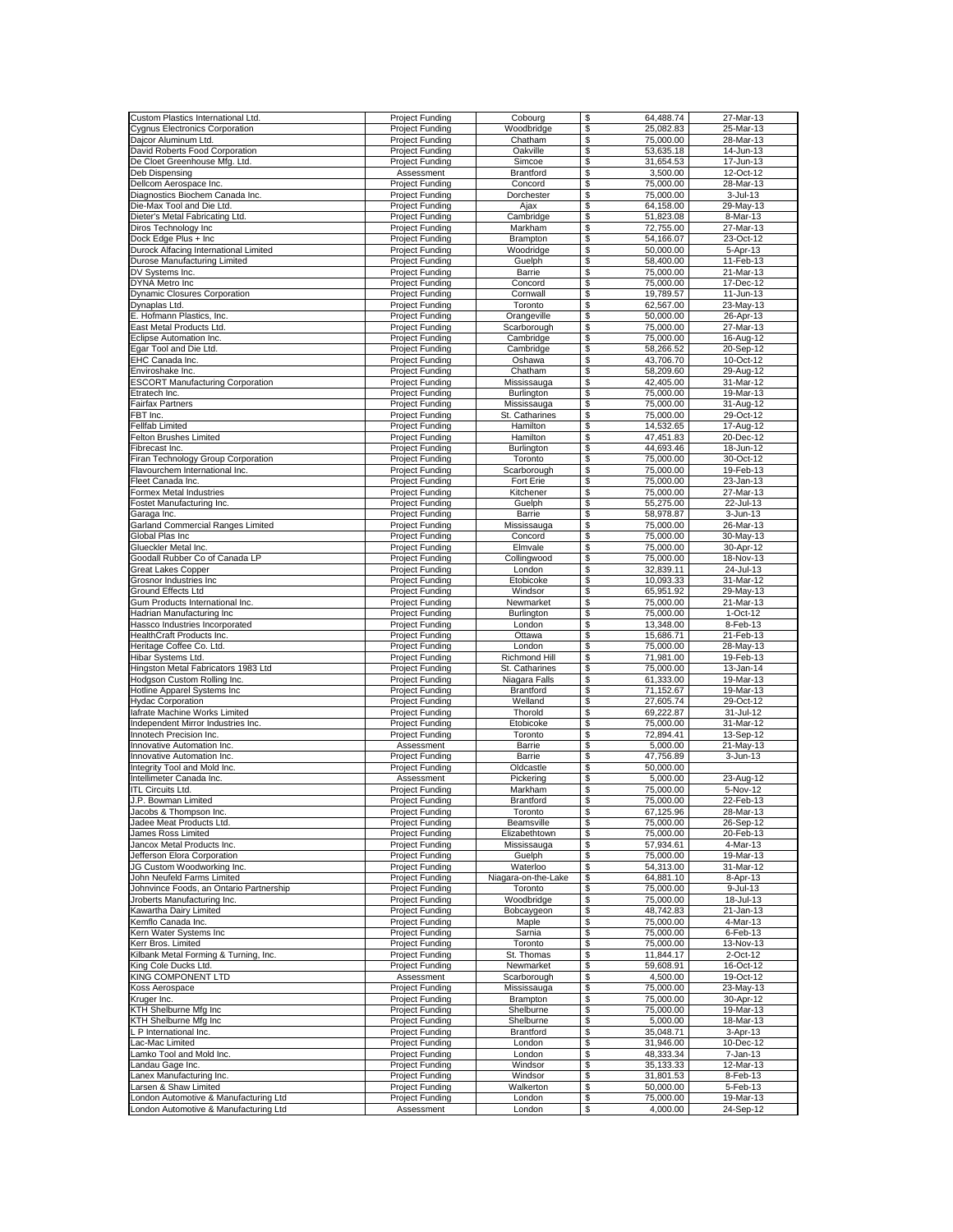| Custom Plastics International Ltd.      |                        |                     |                       | 27-Mar-13    |
|-----------------------------------------|------------------------|---------------------|-----------------------|--------------|
|                                         | Project Funding        | Cobourg             | \$<br>64,488.74       |              |
| <b>Cygnus Electronics Corporation</b>   | <b>Project Funding</b> | Woodbridge          | 25,082.83<br>\$       | 25-Mar-13    |
| Dajcor Aluminum Ltd.                    | Project Funding        | Chatham             | \$<br>75.000.00       | 28-Mar-13    |
|                                         |                        |                     |                       |              |
| David Roberts Food Corporation          | Project Funding        | Oakville            | \$<br>53,635.18       | 14-Jun-13    |
| De Cloet Greenhouse Mfg. Ltd.           | <b>Project Funding</b> | Simcoe              | \$<br>31,654.53       | 17-Jun-13    |
| Deb Dispensing                          | Assessment             | Brantford           | \$<br>3,500.00        | 12-Oct-12    |
|                                         |                        |                     |                       |              |
| Dellcom Aerospace Inc.                  | Project Funding        | Concord             | \$<br>75,000.00       | 28-Mar-13    |
| Diagnostics Biochem Canada Inc.         | <b>Project Funding</b> | Dorchester          | \$<br>75,000.00       | $3 -$ Jul-13 |
| Die-Max Tool and Die Ltd.               | <b>Project Funding</b> | Ajax                | \$<br>64,158.00       | 29-May-13    |
|                                         |                        |                     |                       |              |
| Dieter's Metal Fabricating Ltd.         | <b>Project Funding</b> | Cambridge           | \$<br>51,823.08       | 8-Mar-13     |
| Diros Technology Inc                    | <b>Project Funding</b> | Markham             | \$<br>72,755.00       | 27-Mar-13    |
| Dock Edge Plus + Inc                    | Project Funding        | <b>Brampton</b>     | 54,166.07<br>\$       | 23-Oct-12    |
|                                         |                        |                     |                       |              |
| Durock Alfacing International Limited   | Project Funding        | Woodridge           | \$<br>50,000.00       | 5-Apr-13     |
| Durose Manufacturing Limited            | Project Funding        | Guelph              | \$<br>58,400.00       | 11-Feb-13    |
| DV Systems Inc.                         | <b>Project Funding</b> | Barrie              | \$<br>75,000.00       | 21-Mar-13    |
| <b>DYNA Metro Inc</b>                   |                        |                     | \$<br>75,000.00       | 17-Dec-12    |
|                                         | Project Funding        | Concord             |                       |              |
| <b>Dynamic Closures Corporation</b>     | <b>Project Funding</b> | Cornwall            | 19,789.57<br>\$       | 11-Jun-13    |
| Dynaplas Ltd.                           | <b>Project Funding</b> | Toronto             | S<br>62,567.00        | 23-May-13    |
| E. Hofmann Plastics, Inc.               | <b>Project Funding</b> |                     | \$<br>50,000.00       | 26-Apr-13    |
|                                         |                        | Orangeville         |                       |              |
| East Metal Products Ltd.                | Project Funding        | Scarborough         | \$<br>75,000.00       | 27-Mar-13    |
| Eclipse Automation Inc.                 | <b>Project Funding</b> | Cambridge           | \$<br>75,000.00       | $16$ -Aug-12 |
| Egar Tool and Die Ltd.                  | <b>Project Funding</b> | Cambridge           | \$<br>58,266.52       | 20-Sep-12    |
|                                         |                        |                     |                       |              |
| EHC Canada Inc                          | Project Funding        | Oshawa              | 43,706.70<br>\$       | 10-Oct-12    |
| Enviroshake Inc.                        | Project Funding        | Chatham             | 58,209.60<br>\$       | 29-Aug-12    |
| <b>ESCORT Manufacturing Corporation</b> | <b>Project Funding</b> | Mississauga         | \$<br>42,405.00       | 31-Mar-12    |
|                                         |                        |                     |                       |              |
| Etratech Inc.                           | <b>Project Funding</b> | Burlington          | \$<br>75,000.00       | 19-Mar-13    |
| Fairfax Partners                        | <b>Project Funding</b> | Mississauga         | \$<br>75,000.00       | 31-Aug-12    |
| FBT Inc.                                | Project Funding        | St. Catharines      | \$<br>75,000.00       | 29-Oct-12    |
|                                         | <b>Project Funding</b> |                     | \$                    |              |
| Fellfab Limited                         |                        | Hamilton            | 14,532.65             | 17-Aug-12    |
| Felton Brushes Limited                  | <b>Project Funding</b> | Hamilton            | \$<br>47,451.83       | 20-Dec-12    |
| Fibrecast Inc.                          | Project Funding        | Burlington          | \$<br>44,693.46       | 18-Jun-12    |
|                                         |                        | Toronto             |                       |              |
| Firan Technology Group Corporation      | <b>Project Funding</b> |                     | \$<br>75,000.00       | 30-Oct-12    |
| Flavourchem International Inc.          | <b>Project Funding</b> | Scarborough         | \$<br>75.000.00       | 19-Feb-13    |
| Fleet Canada Inc.                       | <b>Project Funding</b> | Fort Erie           | \$<br>75,000.00       | 23-Jan-13    |
| Formex Metal Industries                 | Project Funding        | Kitchener           | \$<br>75,000.00       | 27-Mar-13    |
|                                         |                        |                     |                       |              |
| Fostet Manufacturing Inc.               | <b>Project Funding</b> | Guelph              | \$<br>55,275.00       | 22-Jul-13    |
| Garaga Inc.                             | Project Funding        | Barrie              | 58,978.87<br>\$       | 3-Jun-13     |
| Garland Commercial Ranges Limited       | <b>Project Funding</b> |                     |                       | 26-Mar-13    |
|                                         |                        | Mississauga         | \$<br>75,000.00       |              |
| Global Plas Inc                         | <b>Project Funding</b> | Concord             | \$<br>75.000.00       | 30-May-13    |
| Glueckler Metal Inc.                    | <b>Project Funding</b> | Elmvale             | \$<br>75,000.00       | 30-Apr-12    |
| Goodall Rubber Co of Canada LP          | <b>Project Funding</b> | Collingwood         | \$<br>75,000.00       | 18-Nov-13    |
|                                         |                        |                     |                       |              |
| Great Lakes Copper                      | <b>Project Funding</b> | London              | \$<br>32,839.11       | 24-Jul-13    |
| Grosnor Industries Inc                  | <b>Project Funding</b> | Etobicoke           | S<br>10,093.33        | 31-Mar-12    |
| Ground Effects Ltd                      | <b>Project Funding</b> | Windsor             | \$<br>65,951.92       | 29-May-13    |
|                                         |                        |                     |                       |              |
| Gum Products International Inc.         | Project Funding        | Newmarket           | \$<br>75,000.00       | 21-Mar-13    |
| Hadrian Manufacturing Inc               | <b>Project Funding</b> | Burlington          | \$<br>75,000.00       | 1-Oct-12     |
| Hassco Industries Incorporated          | <b>Project Funding</b> | London              | \$<br>13,348.00       | 8-Feb-13     |
|                                         |                        |                     |                       |              |
| <b>HealthCraft Products Inc</b>         | Project Funding        | Ottawa              | 15,686.71<br>\$       | 21-Feb-13    |
| Heritage Coffee Co. Ltd.                | <b>Project Funding</b> | London              | \$<br>75,000.00       | 28-May-13    |
| Hibar Systems Ltd.                      | <b>Project Funding</b> | Richmond Hill       | \$<br>71,981.00       | 19-Feb-13    |
|                                         |                        |                     |                       |              |
| Hingston Metal Fabricators 1983 Ltd     | Project Funding        | St. Catharines      | \$<br>75,000.00       | 13-Jan-14    |
| Hodgson Custom Rolling Inc.             | <b>Project Funding</b> | Niagara Falls       | 61,333.00<br>\$       | 19-Mar-13    |
| Hotline Apparel Systems Inc             | Project Funding        | Brantford           | \$<br>71,152.67       | 19-Mar-13    |
| <b>Hydac Corporation</b>                | <b>Project Funding</b> | Welland             | \$<br>27,605.74       | 29-Oct-12    |
|                                         |                        |                     |                       |              |
| lafrate Machine Works Limited           | <b>Project Funding</b> | Thorold             | \$<br>69,222.87       | 31-Jul-12    |
| Independent Mirror Industries Inc.      | Project Funding        | Etobicoke           | \$<br>75,000.00       | 31-Mar-12    |
| Innotech Precision Inc.                 |                        |                     |                       |              |
|                                         |                        |                     |                       |              |
|                                         | Project Funding        | Toronto             | \$<br>72,894.41       | 13-Sep-12    |
| Innovative Automation Inc.              | Assessment             | Barrie              | \$<br>5,000.00        | 21-May-13    |
| Innovative Automation Inc.              | Project Funding        | Barrie              | \$<br>47,756.89       | 3-Jun-13     |
|                                         |                        |                     |                       |              |
| Integrity Tool and Mold Inc.            | Project Funding        | Oldcastle           | \$<br>50,000.00       |              |
| Intellimeter Canada Inc.                | Assessment             | Pickering           | \$<br>5,000.00        | 23-Aug-12    |
| <b>ITL Circuits Ltd.</b>                | Project Funding        | Markham             | \$<br>75,000.00       | 5-Nov-12     |
|                                         |                        | <b>Brantford</b>    |                       | 22-Feb-13    |
| J.P. Bowman Limited                     | Project Funding        |                     | \$<br>75,000.00       |              |
| Jacobs & Thompson Inc.                  | <b>Project Funding</b> | Toronto             | \$<br>67,125.96       | 28-Mar-13    |
| Jadee Meat Products Ltd.                | <b>Project Funding</b> | Beamsville          | \$<br>75,000.00       | 26-Sep-12    |
| James Ross Limited                      | <b>Project Funding</b> | Elizabethtown       | \$<br>75,000.00       | 20-Feb-13    |
| Jancox Metal Products Inc.              | <b>Project Funding</b> | Mississauga         | 57,934.61<br>\$       | 4-Mar-13     |
|                                         |                        |                     |                       |              |
| Jefferson Elora Corporation             | Project Funding        | Guelph              | \$<br>75,000.00       | 19-Mar-13    |
| JG Custom Woodworking Inc               | <b>Project Funding</b> | Waterloo            | \$<br>54,313.00       | 31-Mar-12    |
| John Neufeld Farms Limited              | Project Funding        | Niagara-on-the-Lake | \$<br>64,881.10       | 8-Apr-13     |
|                                         |                        |                     |                       |              |
| Johnvince Foods, an Ontario Partnership | Project Funding        | Toronto             | \$<br>75,000.00       | 9-Jul-13     |
| Jroberts Manufacturing Inc.             | <b>Project Funding</b> | Woodbridge          | 75,000.00<br>\$       | 18-Jul-13    |
| Kawartha Dairy Limited                  | <b>Project Funding</b> | Bobcaygeon          | 48,742.83<br>\$       | 21-Jan-13    |
|                                         | <b>Project Funding</b> |                     |                       | 4-Mar-13     |
| Kemflo Canada Inc.                      |                        | Maple               | 75,000.00<br>\$       |              |
| Kern Water Systems Inc                  | <b>Project Funding</b> | Sarnia              | \$<br>75,000.00       | $6$ -Feb-13  |
| Kerr Bros. Limited                      | <b>Project Funding</b> | Toronto             | \$<br>75,000.00       | 13-Nov-13    |
| Kilbank Metal Forming & Turning, Inc.   | <b>Project Funding</b> | St. Thomas          | \$<br>11,844.17       | 2-Oct-12     |
|                                         |                        |                     |                       |              |
| King Cole Ducks Ltd.                    | <b>Project Funding</b> | Newmarket           | \$<br>59,608.91       | 16-Oct-12    |
| KING COMPONENT LTD                      | Assessment             | Scarborough         | \$<br>4,500.00        | 19-Oct-12    |
| Koss Aerospace                          | <b>Project Funding</b> | Mississauga         | \$<br>75,000.00       | 23-May-13    |
|                                         |                        |                     |                       |              |
| Kruger Inc.                             | Project Funding        | Brampton            | \$<br>75,000.00       | 30-Apr-12    |
| KTH Shelburne Mfg Inc                   | <b>Project Funding</b> | Shelburne           | \$<br>75,000.00       | 19-Mar-13    |
| KTH Shelburne Mfg Inc                   | <b>Project Funding</b> | Shelburne           | \$<br>5,000.00        | 18-Mar-13    |
|                                         |                        |                     |                       |              |
| L P International Inc.                  | <b>Project Funding</b> | Brantford           | \$<br>35,048.71       | 3-Apr-13     |
| Lac-Mac Limited                         | <b>Project Funding</b> | London              | \$<br>31,946.00       | 10-Dec-12    |
| Lamko Tool and Mold Inc.                | <b>Project Funding</b> | London              | \$<br>48,333.34       | 7-Jan-13     |
| Landau Gage Inc                         | Project Funding        | Windsor             | 35,133.33<br>\$       | 12-Mar-13    |
|                                         |                        |                     |                       |              |
| Lanex Manufacturing Inc.                | <b>Project Funding</b> | Windsor             | \$<br>31,801.53       | 8-Feb-13     |
| Larsen & Shaw Limited                   | <b>Project Funding</b> | Walkerton           | \$<br>50,000.00       | 5-Feb-13     |
| London Automotive & Manufacturing Ltd   | Project Funding        | London              | \$<br>75,000.00<br>\$ | 19-Mar-13    |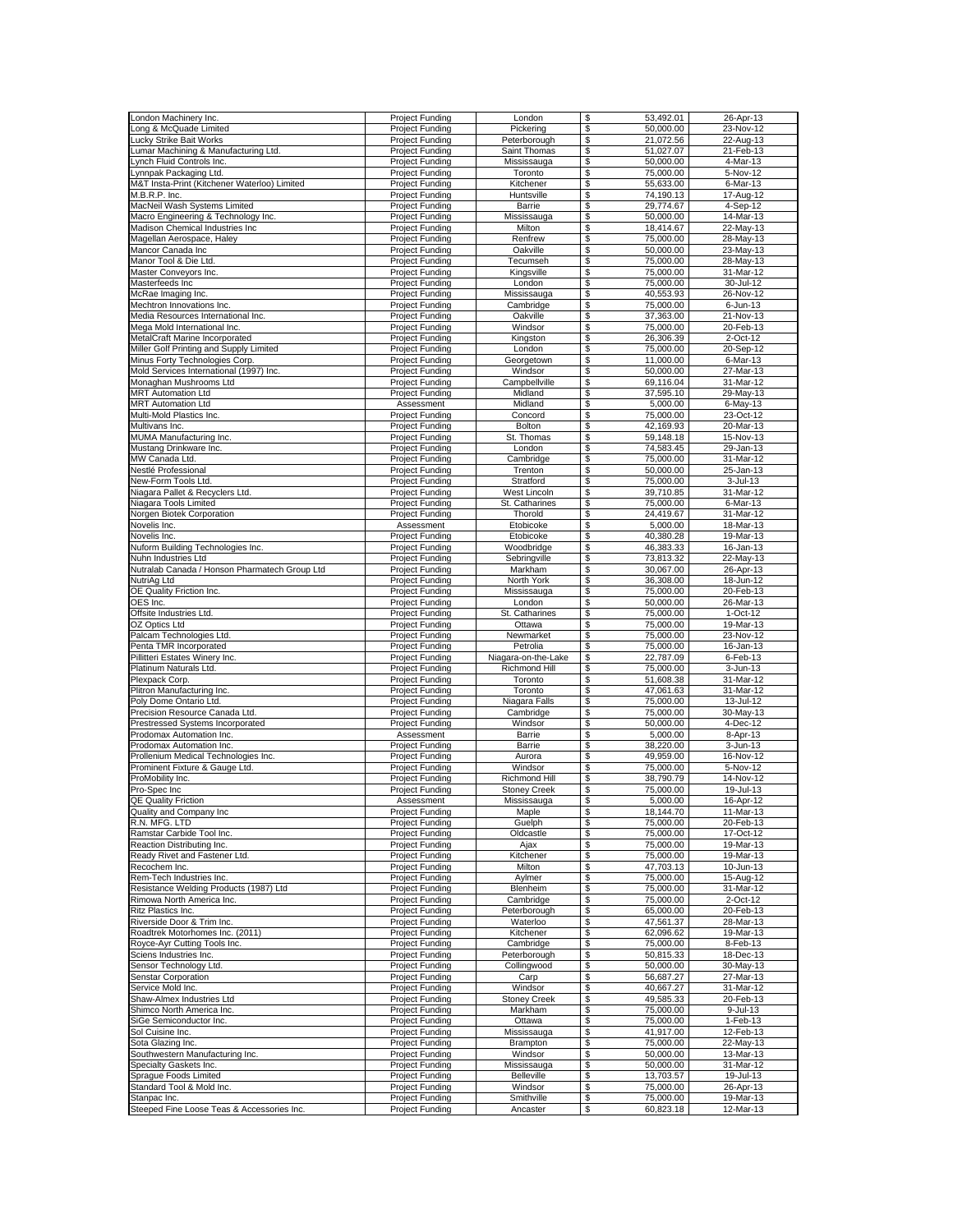| London Machinery Inc                          |                        |                     |                 |                 |
|-----------------------------------------------|------------------------|---------------------|-----------------|-----------------|
|                                               | <b>Project Funding</b> | London              | \$<br>53,492.01 | 26-Apr-13       |
| Long & McQuade Limited                        | <b>Project Funding</b> | Pickering           | 50,000.00<br>\$ | 23-Nov-12       |
| <b>Lucky Strike Bait Works</b>                | Project Funding        | Peterborough        | \$<br>21,072.56 | 22-Aug-13       |
|                                               |                        |                     |                 |                 |
| Lumar Machining & Manufacturing Ltd.          | Project Funding        | Saint Thomas        | \$<br>51.027.07 | 21-Feb-13       |
| Lynch Fluid Controls Inc.                     | Project Funding        | Mississauga         | \$<br>50,000.00 | 4-Mar-13        |
| Lynnpak Packaging Ltd.                        | Project Funding        | Toronto             | 75,000.00<br>\$ | 5-Nov-12        |
|                                               |                        |                     |                 |                 |
| M&T Insta-Print (Kitchener Waterloo) Limited  | <b>Project Funding</b> | Kitchener           | \$<br>55,633.00 | 6-Mar-13        |
| M.B.R.P. Inc.                                 | <b>Project Funding</b> | Huntsville          | \$<br>74,190.13 | 17-Aug-12       |
| MacNeil Wash Systems Limited                  | <b>Project Funding</b> | Barrie              | \$<br>29,774.67 | 4-Sep-12        |
|                                               | <b>Project Funding</b> |                     |                 | 14-Mar-13       |
| Macro Engineering & Technology Inc.           |                        | Mississauga         | \$<br>50,000.00 |                 |
| Madison Chemical Industries Inc               | <b>Project Funding</b> | Milton              | 18,414.67<br>\$ | 22-May-13       |
| Magellan Aerospace, Haley                     | Project Funding        | Renfrew             | 75,000.00<br>\$ | 28-May-13       |
|                                               |                        |                     | 50,000.00       |                 |
| Mancor Canada Inc                             | <b>Project Funding</b> | Oakville            | \$              | 23-May-13       |
| Manor Tool & Die Ltd                          | Project Funding        | Tecumseh            | \$<br>75,000.00 | 28-May-13       |
| Master Conveyors Inc.                         | Project Funding        | Kingsville          | \$<br>75,000.00 | 31-Mar-12       |
| Masterfeeds Inc                               |                        | London              | \$<br>75,000.00 | 30-Jul-12       |
|                                               | Project Funding        |                     |                 |                 |
| McRae Imaging Inc.                            | <b>Project Funding</b> | Mississauga         | \$<br>40,553.93 | 26-Nov-12       |
| Mechtron Innovations Inc.                     | <b>Project Funding</b> | Cambridge           | S<br>75,000.00  | 6-Jun-13        |
| Media Resources International Inc.            | <b>Project Funding</b> | Oakville            | \$<br>37,363.00 | 21-Nov-13       |
|                                               |                        |                     |                 |                 |
| Mega Mold International Inc.                  | Project Funding        | Windsor             | \$<br>75,000.00 | 20-Feb-13       |
| MetalCraft Marine Incorporated                | <b>Project Funding</b> | Kingston            | \$<br>26,306.39 | 2-Oct-12        |
| Miller Golf Printing and Supply Limited       | <b>Project Funding</b> | London              | \$<br>75,000.00 | 20-Sep-12       |
|                                               |                        |                     |                 |                 |
| Minus Forty Technologies Corp                 | <b>Project Funding</b> | Georgetown          | 11,000.00<br>\$ | 6-Mar-13        |
| Mold Services International (1997) Inc.       | <b>Project Funding</b> | Windsor             | 50,000.00<br>\$ | 27-Mar-13       |
| Monaghan Mushrooms Ltd                        | <b>Project Funding</b> | Campbellville       | \$<br>69,116.04 | 31-Mar-12       |
|                                               |                        |                     |                 |                 |
| <b>MRT</b> Automation Ltd                     | Project Funding        | Midland             | \$<br>37,595.10 | 29-May-13       |
| <b>MRT Automation Ltd</b>                     | Assessment             | Midland             | \$<br>5,000.00  | 6-May-13        |
| Multi-Mold Plastics Inc.                      | <b>Project Funding</b> | Concord             | \$<br>75,000.00 | 23-Oct-12       |
| Multivans Inc.                                |                        | Bolton              | \$<br>42.169.93 | 20-Mar-13       |
|                                               | <b>Project Funding</b> |                     |                 |                 |
| MUMA Manufacturing Inc.                       | <b>Project Funding</b> | St. Thomas          | \$<br>59,148.18 | 15-Nov-13       |
| Mustang Drinkware Inc.                        | Project Funding        | London              | \$<br>74,583.45 | 29-Jan-13       |
|                                               |                        |                     | 75,000.00       | 31-Mar-12       |
| MW Canada Ltd.                                | <b>Project Funding</b> | Cambridge           | \$              |                 |
| Nestlé Professional                           | <b>Project Funding</b> | Trenton             | \$<br>50.000.00 | 25-Jan-13       |
| New-Form Tools Ltd.                           | <b>Project Funding</b> | Stratford           | \$<br>75,000.00 | $3 -$ Jul $-13$ |
| Niagara Pallet & Recyclers Ltd.               | Project Funding        | <b>West Lincoln</b> | \$<br>39,710.85 | 31-Mar-12       |
|                                               |                        |                     |                 |                 |
| Niagara Tools Limited                         | <b>Project Funding</b> | St. Catharines      | \$<br>75,000.00 | 6-Mar-13        |
| Norgen Biotek Corporation                     | Project Funding        | Thorold             | 24.419.67<br>\$ | 31-Mar-12       |
| Novelis Inc.                                  | Assessment             | Etobicoke           | \$<br>5.000.00  | 18-Mar-13       |
|                                               |                        |                     |                 |                 |
| Novelis Inc.                                  | <b>Project Funding</b> | Etobicoke           | \$<br>40,380.28 | 19-Mar-13       |
| Nuform Building Technologies Inc.             | <b>Project Funding</b> | Woodbridge          | 46.383.33<br>\$ | 16-Jan-13       |
| Nuhn Industries Ltd                           |                        | Sebringville        | \$              | 22-Mav-13       |
|                                               | <b>Project Funding</b> |                     | 73,813.32       |                 |
| Nutralab Canada / Honson Pharmatech Group Ltd | Project Funding        | Markham             | \$<br>30,067.00 | 26-Apr-13       |
| NutriAg Ltd                                   | <b>Project Funding</b> | North York          | S<br>36,308.00  | 18-Jun-12       |
| OE Quality Friction Inc.                      | Project Funding        | Mississauga         | \$<br>75,000.00 | 20-Feb-13       |
|                                               |                        |                     |                 |                 |
| OES Inc.                                      | Project Funding        | London              | 50,000.00<br>\$ | 26-Mar-13       |
| Offsite Industries Ltd.                       | <b>Project Funding</b> | St. Catharines      | \$<br>75,000.00 | 1-Oct-12        |
| OZ Optics Ltd                                 | <b>Project Funding</b> | Ottawa              | \$<br>75,000.00 | 19-Mar-13       |
|                                               |                        |                     |                 |                 |
| Palcam Technologies Ltd.                      | Project Funding        | Newmarket           | 75,000.00<br>\$ | 23-Nov-12       |
| Penta TMR Incorporated                        | <b>Project Funding</b> | Petrolia            | \$<br>75,000.00 | 16-Jan-13       |
| Pillitteri Estates Winery Inc.                |                        |                     | 22,787.09<br>\$ | 6-Feb-13        |
|                                               |                        |                     |                 |                 |
|                                               | <b>Project Funding</b> | Niagara-on-the-Lake |                 |                 |
| Platinum Naturals Ltd.                        | Project Funding        | Richmond Hill       | \$<br>75,000.00 | 3-Jun-13        |
| Plexpack Corp.                                | <b>Project Funding</b> | Toronto             | \$<br>51,608.38 | 31-Mar-12       |
|                                               |                        |                     |                 |                 |
| Plitron Manufacturing Inc                     | Project Funding        | Toronto             | \$<br>47,061.63 | 31-Mar-12       |
| Poly Dome Ontario Ltd.                        | <b>Project Funding</b> | Niagara Falls       | \$<br>75,000.00 | 13-Jul-12       |
| Precision Resource Canada Ltd.                | <b>Project Funding</b> | Cambridge           | \$<br>75.000.00 | 30-May-13       |
|                                               |                        |                     |                 |                 |
| Prestressed Systems Incorporated              | Project Funding        | Windsor             | 50,000.00<br>\$ | 4-Dec-12        |
| Prodomax Automation Inc.                      | Assessment             | Barrie              | \$<br>5,000.00  | 8-Apr-13        |
| Prodomax Automation Inc.                      | <b>Project Funding</b> | Barrie              | \$<br>38,220.00 | 3-Jun-13        |
| Prollenium Medical Technologies Inc.          | Project Funding        | Aurora              | \$<br>49,959.00 | 16-Nov-12       |
|                                               |                        |                     |                 |                 |
| Prominent Fixture & Gauge Ltd.                | Project Funding        | Windsor             | \$<br>75,000.00 | 5-Nov-12        |
| ProMobility Inc.                              | <b>Project Funding</b> | Richmond Hill       | \$<br>38,790.79 | 14-Nov-12       |
| Pro-Spec Inc                                  | Project Funding        | <b>Stoney Creek</b> | 75,000.00<br>\$ | 19-Jul-13       |
| <b>QE Quality Friction</b>                    |                        |                     |                 | 16-Apr-12       |
|                                               | Assessment             | Mississauga         | 5,000.00<br>\$  |                 |
| Quality and Company Inc                       | <b>Project Funding</b> | Maple               | \$<br>18,144.70 | 11-Mar-13       |
| R.N. MFG. LTD                                 | <b>Project Funding</b> | Guelph              | \$<br>75,000.00 | 20-Feb-13       |
| Ramstar Carbide Tool Inc.                     | Project Funding        | Oldcastle           | \$<br>75,000.00 | 17-Oct-12       |
|                                               |                        |                     | 75,000.00       | 19-Mar-13       |
| Reaction Distributing Inc.                    | <b>Project Funding</b> | Ajax                | \$              |                 |
| Ready Rivet and Fastener Ltd.                 | <b>Project Funding</b> | Kitchener           | \$<br>75,000.00 | 19-Mar-13       |
| Recochem Inc.                                 | <b>Project Funding</b> | Milton              | \$<br>47,703.13 | 10-Jun-13       |
| Rem-Tech Industries Inc.                      | Project Funding        | Aylmer              | \$<br>75,000.00 | 15-Aug-12       |
|                                               |                        |                     |                 |                 |
| Resistance Welding Products (1987) Ltd        | <b>Project Funding</b> | Blenheim            | \$<br>75,000.00 | 31-Mar-12       |
| Rimowa North America Inc.                     | <b>Project Funding</b> | Cambridge           | \$<br>75,000.00 | 2-Oct-12        |
| Ritz Plastics Inc.                            | <b>Project Funding</b> | Peterborough        | 65,000.00<br>\$ | 20-Feb-13       |
| Riverside Door & Trim Inc.                    |                        |                     |                 | 28-Mar-13       |
|                                               | <b>Project Funding</b> | Waterloo            | 47,561.37<br>\$ |                 |
| Roadtrek Motorhomes Inc. (2011)               | <b>Project Funding</b> | Kitchener           | \$<br>62,096.62 | 19-Mar-13       |
| Royce-Ayr Cutting Tools Inc.                  | <b>Project Funding</b> | Cambridge           | \$<br>75,000.00 | 8-Feb-13        |
| Sciens Industries Inc.                        | Project Funding        | Peterborough        | \$<br>50,815.33 | 18-Dec-13       |
|                                               |                        |                     |                 |                 |
| Sensor Technology Ltd.                        | <b>Project Funding</b> | Collingwood         | \$<br>50,000.00 | 30-May-13       |
| Senstar Corporation                           | <b>Project Funding</b> | Carp                | \$<br>56,687.27 | 27-Mar-13       |
| Service Mold Inc.                             | <b>Project Funding</b> | Windsor             | \$<br>40,667.27 | 31-Mar-12       |
|                                               |                        |                     |                 |                 |
| Shaw-Almex Industries Ltd                     | Project Funding        | <b>Stoney Creek</b> | \$<br>49,585.33 | 20-Feb-13       |
| Shimco North America Inc.                     | Project Funding        | Markham             | \$<br>75,000.00 | 9-Jul-13        |
| SiGe Semiconductor Inc.                       | <b>Project Funding</b> | Ottawa              | \$<br>75,000.00 | 1-Feb-13        |
| Sol Cuisine Inc.                              | <b>Project Funding</b> | Mississauga         | 41,917.00       | 12-Feb-13       |
|                                               |                        |                     | \$              |                 |
| Sota Glazing Inc.                             | <b>Project Funding</b> | Brampton            | \$<br>75,000.00 | 22-May-13       |
| Southwestern Manufacturing Inc.               | <b>Project Funding</b> | Windsor             | \$<br>50,000.00 | 13-Mar-13       |
|                                               |                        |                     |                 |                 |
| Specialty Gaskets Inc.                        | <b>Project Funding</b> | Mississauga         | 50,000.00<br>\$ | 31-Mar-12       |
| Sprague Foods Limited                         | <b>Project Funding</b> | Belleville          | \$<br>13,703.57 | 19-Jul-13       |
| Standard Tool & Mold Inc.                     | <b>Project Funding</b> | Windsor             | \$<br>75,000.00 | 26-Apr-13       |
| Stanpac Inc.                                  | Project Funding        | Smithville          | \$<br>75,000.00 | 19-Mar-13       |
| Steeped Fine Loose Teas & Accessories Inc.    | <b>Project Funding</b> | Ancaster            | \$<br>60,823.18 | 12-Mar-13       |